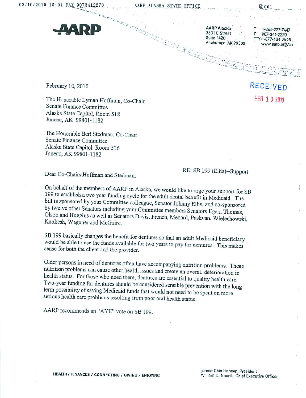

**AARP Alaska** 3601 C Street Suite 1420<br>Anchorage, AK 99503

■■-.

 $1 - 866 - 227 - 74$ T www.aarp.org/ak

February 10, 2010

The Honorable Lyraan Hoffman, Co-Chair Senate Finance Committee Alaska State Capitol, Room 518 Juneau,AK 99801-1182

The Honorable Bert Stedman, Co-Chair Senate Finance Committee Alaska State Capitol, Room 516 Juneau, AK 99801-1182

Dear Co-Chairs Hoffman and Stedman: \*\* (Ellis)--Support (Ellis)--Support

On behalf of the members of AARP in Alaska, we would like to urge your support for SB 199 to establish a wo year funding cycle for the adult dental benefit in Medicaid The bill is sponsored by your Committee colleague, Senator Johnny Ellis, and co-sponsored by twelve other Senators including your Committee members Senators Egan, Thomas Olson and Huggins as well as Senators Davis, French, Menard, Paskvan, Wielechowski, Kookesh, Wagoner and McGuire.

SB 199 basically changes the benefit for dentures so that an adult Medicaid beneficiary would be able to use the funds available for two years to pay for dentures. This makes sense for both the client and the provider.

Older persons in need of dentures often have accompanying nutrition problems. These nutrition problems can cause other health issues and create an overall deterioration in health status. For those who need them, dentures are essential to quality health care Two-year funding for dentures should be considered sensible prevention with the long term possibility of saving Medicaid funds that would not need to be spent on more senous health care problems resulting from poor oral health status.

AARP recommends an "AYE" vote on SB 199.

RECEIVED FEB 1 0 2010